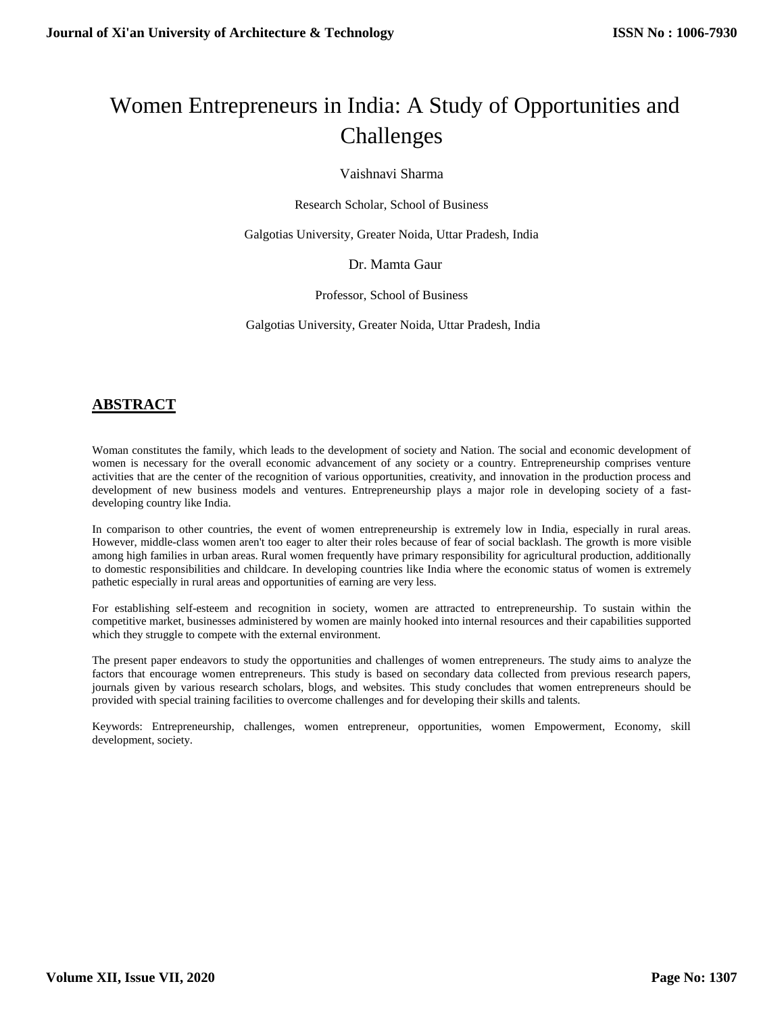# Women Entrepreneurs in India: A Study of Opportunities and Challenges

Vaishnavi Sharma

Research Scholar, School of Business

Galgotias University, Greater Noida, Uttar Pradesh, India

Dr. Mamta Gaur

Professor, School of Business

Galgotias University, Greater Noida, Uttar Pradesh, India

# **ABSTRACT**

Woman constitutes the family, which leads to the development of society and Nation. The social and economic development of women is necessary for the overall economic advancement of any society or a country. Entrepreneurship comprises venture activities that are the center of the recognition of various opportunities, creativity, and innovation in the production process and development of new business models and ventures. Entrepreneurship plays a major role in developing society of a fastdeveloping country like India.

In comparison to other countries, the event of women entrepreneurship is extremely low in India, especially in rural areas. However, middle-class women aren't too eager to alter their roles because of fear of social backlash. The growth is more visible among high families in urban areas. Rural women frequently have primary responsibility for agricultural production, additionally to domestic responsibilities and childcare. In developing countries like India where the economic status of women is extremely pathetic especially in rural areas and opportunities of earning are very less.

For establishing self-esteem and recognition in society, women are attracted to entrepreneurship. To sustain within the competitive market, businesses administered by women are mainly hooked into internal resources and their capabilities supported which they struggle to compete with the external environment.

The present paper endeavors to study the opportunities and challenges of women entrepreneurs. The study aims to analyze the factors that encourage women entrepreneurs. This study is based on secondary data collected from previous research papers, journals given by various research scholars, blogs, and websites. This study concludes that women entrepreneurs should be provided with special training facilities to overcome challenges and for developing their skills and talents.

Keywords: Entrepreneurship, challenges, women entrepreneur, opportunities, women Empowerment, Economy, skill development, society.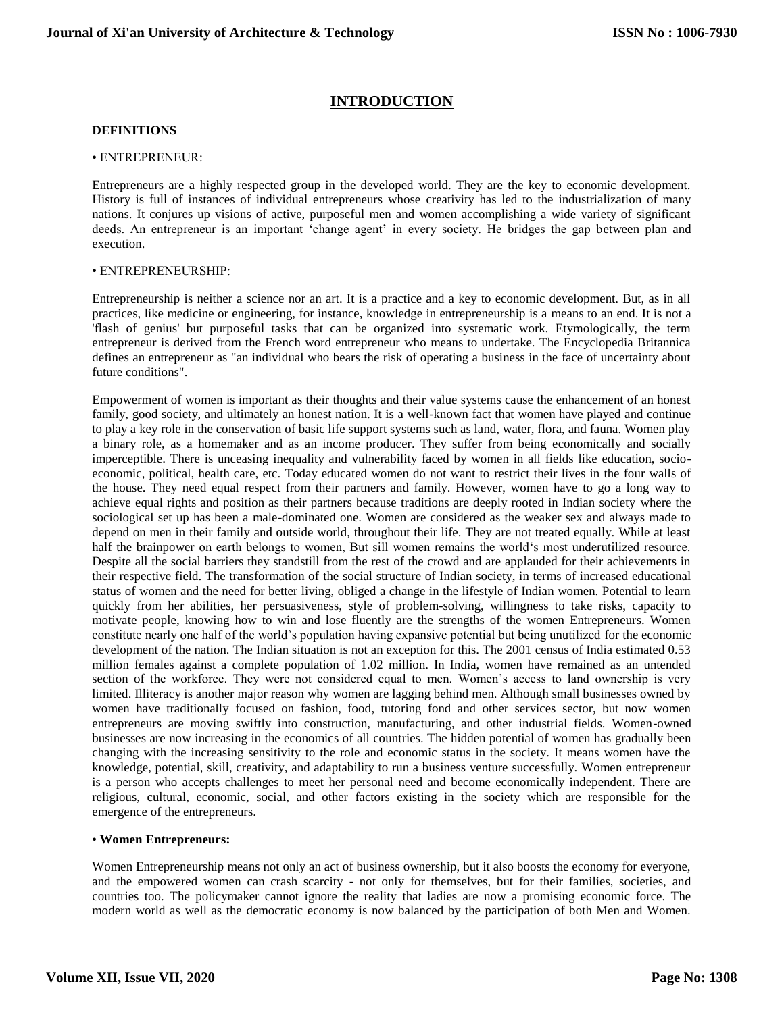# **INTRODUCTION**

#### **DEFINITIONS**

#### • ENTREPRENEUR:

Entrepreneurs are a highly respected group in the developed world. They are the key to economic development. History is full of instances of individual entrepreneurs whose creativity has led to the industrialization of many nations. It conjures up visions of active, purposeful men and women accomplishing a wide variety of significant deeds. An entrepreneur is an important 'change agent' in every society. He bridges the gap between plan and execution.

#### • ENTREPRENEURSHIP:

Entrepreneurship is neither a science nor an art. It is a practice and a key to economic development. But, as in all practices, like medicine or engineering, for instance, knowledge in entrepreneurship is a means to an end. It is not a 'flash of genius' but purposeful tasks that can be organized into systematic work. Etymologically, the term entrepreneur is derived from the French word entrepreneur who means to undertake. The Encyclopedia Britannica defines an entrepreneur as "an individual who bears the risk of operating a business in the face of uncertainty about future conditions".

Empowerment of women is important as their thoughts and their value systems cause the enhancement of an honest family, good society, and ultimately an honest nation. It is a well-known fact that women have played and continue to play a key role in the conservation of basic life support systems such as land, water, flora, and fauna. Women play a binary role, as a homemaker and as an income producer. They suffer from being economically and socially imperceptible. There is unceasing inequality and vulnerability faced by women in all fields like education, socioeconomic, political, health care, etc. Today educated women do not want to restrict their lives in the four walls of the house. They need equal respect from their partners and family. However, women have to go a long way to achieve equal rights and position as their partners because traditions are deeply rooted in Indian society where the sociological set up has been a male-dominated one. Women are considered as the weaker sex and always made to depend on men in their family and outside world, throughout their life. They are not treated equally. While at least half the brainpower on earth belongs to women, But sill women remains the world's most underutilized resource. Despite all the social barriers they standstill from the rest of the crowd and are applauded for their achievements in their respective field. The transformation of the social structure of Indian society, in terms of increased educational status of women and the need for better living, obliged a change in the lifestyle of Indian women. Potential to learn quickly from her abilities, her persuasiveness, style of problem-solving, willingness to take risks, capacity to motivate people, knowing how to win and lose fluently are the strengths of the women Entrepreneurs. Women constitute nearly one half of the world's population having expansive potential but being unutilized for the economic development of the nation. The Indian situation is not an exception for this. The 2001 census of India estimated 0.53 million females against a complete population of 1.02 million. In India, women have remained as an untended section of the workforce. They were not considered equal to men. Women's access to land ownership is very limited. Illiteracy is another major reason why women are lagging behind men. Although small businesses owned by women have traditionally focused on fashion, food, tutoring fond and other services sector, but now women entrepreneurs are moving swiftly into construction, manufacturing, and other industrial fields. Women-owned businesses are now increasing in the economics of all countries. The hidden potential of women has gradually been changing with the increasing sensitivity to the role and economic status in the society. It means women have the knowledge, potential, skill, creativity, and adaptability to run a business venture successfully. Women entrepreneur is a person who accepts challenges to meet her personal need and become economically independent. There are religious, cultural, economic, social, and other factors existing in the society which are responsible for the emergence of the entrepreneurs.

#### • **Women Entrepreneurs:**

Women Entrepreneurship means not only an act of business ownership, but it also boosts the economy for everyone, and the empowered women can crash scarcity - not only for themselves, but for their families, societies, and countries too. The policymaker cannot ignore the reality that ladies are now a promising economic force. The modern world as well as the democratic economy is now balanced by the participation of both Men and Women.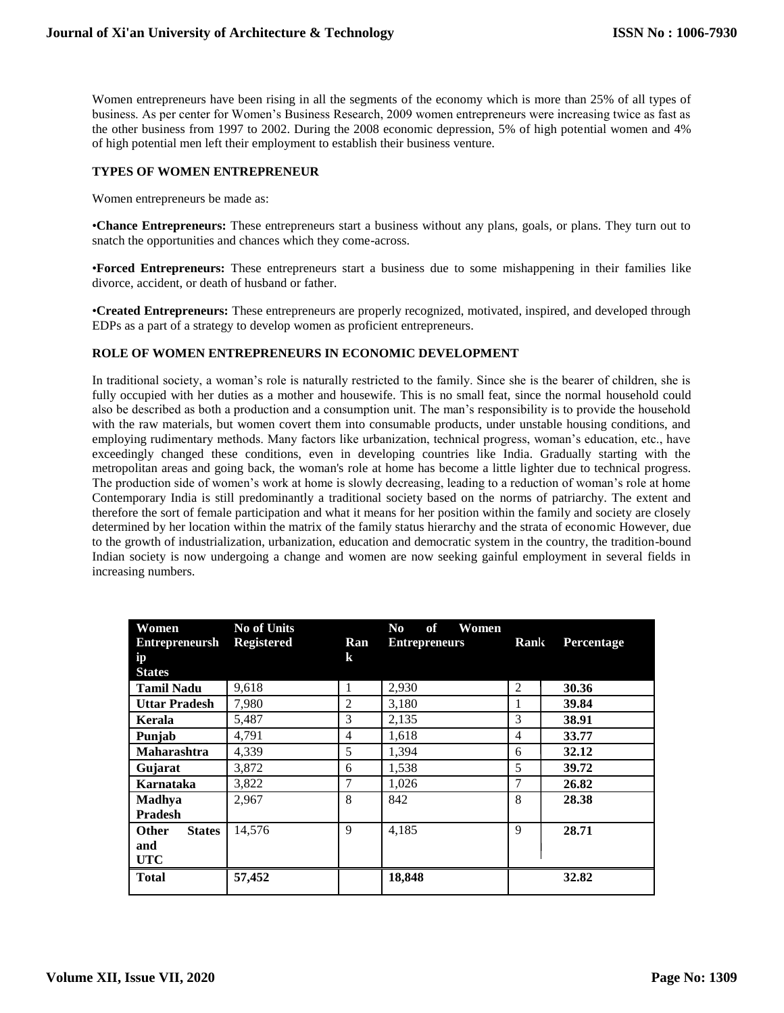Women entrepreneurs have been rising in all the segments of the economy which is more than 25% of all types of business. As per center for Women's Business Research, 2009 women entrepreneurs were increasing twice as fast as the other business from 1997 to 2002. During the 2008 economic depression, 5% of high potential women and 4% of high potential men left their employment to establish their business venture.

# **TYPES OF WOMEN ENTREPRENEUR**

Women entrepreneurs be made as:

•**Chance Entrepreneurs:** These entrepreneurs start a business without any plans, goals, or plans. They turn out to snatch the opportunities and chances which they come-across.

•**Forced Entrepreneurs:** These entrepreneurs start a business due to some mishappening in their families like divorce, accident, or death of husband or father.

•**Created Entrepreneurs:** These entrepreneurs are properly recognized, motivated, inspired, and developed through EDPs as a part of a strategy to develop women as proficient entrepreneurs.

# **ROLE OF WOMEN ENTREPRENEURS IN ECONOMIC DEVELOPMENT**

In traditional society, a woman's role is naturally restricted to the family. Since she is the bearer of children, she is fully occupied with her duties as a mother and housewife. This is no small feat, since the normal household could also be described as both a production and a consumption unit. The man's responsibility is to provide the household with the raw materials, but women covert them into consumable products, under unstable housing conditions, and employing rudimentary methods. Many factors like urbanization, technical progress, woman's education, etc., have exceedingly changed these conditions, even in developing countries like India. Gradually starting with the metropolitan areas and going back, the woman's role at home has become a little lighter due to technical progress. The production side of women's work at home is slowly decreasing, leading to a reduction of woman's role at home Contemporary India is still predominantly a traditional society based on the norms of patriarchy. The extent and therefore the sort of female participation and what it means for her position within the family and society are closely determined by her location within the matrix of the family status hierarchy and the strata of economic However, due to the growth of industrialization, urbanization, education and democratic system in the country, the tradition-bound Indian society is now undergoing a change and women are now seeking gainful employment in several fields in increasing numbers.

| Women                         | <b>No of Units</b> |                | No.<br>of<br>Women   |      |                   |
|-------------------------------|--------------------|----------------|----------------------|------|-------------------|
| Entrepreneursh Registered     |                    | Ran            | <b>Entrepreneurs</b> | Rank | <b>Percentage</b> |
| ip                            |                    | $\bf k$        |                      |      |                   |
| <b>States</b>                 |                    |                |                      |      |                   |
| <b>Tamil Nadu</b>             | 9,618              | 1              | 2,930                | 2    | 30.36             |
| <b>Uttar Pradesh</b>          | 7,980              | $\overline{2}$ | 3,180                |      | 39.84             |
| Kerala                        | 5,487              | 3              | 2,135                | 3    | 38.91             |
| Punjab                        | 4,791              | 4              | 1,618                | 4    | 33.77             |
| <b>Maharashtra</b>            | 4,339              | 5              | 1,394                | 6    | 32.12             |
| Gujarat                       | 3,872              | 6              | 1,538                | 5    | 39.72             |
| Karnataka                     | 3,822              | 7              | 1,026                | 7    | 26.82             |
| Madhya                        | 2,967              | 8              | 842                  | 8    | 28.38             |
| <b>Pradesh</b>                |                    |                |                      |      |                   |
| <b>States</b><br><b>Other</b> | 14,576             | 9              | 4.185                | 9    | 28.71             |
| and                           |                    |                |                      |      |                   |
| <b>UTC</b>                    |                    |                |                      |      |                   |
| <b>Total</b>                  | 57,452             |                | 18,848               |      | 32.82             |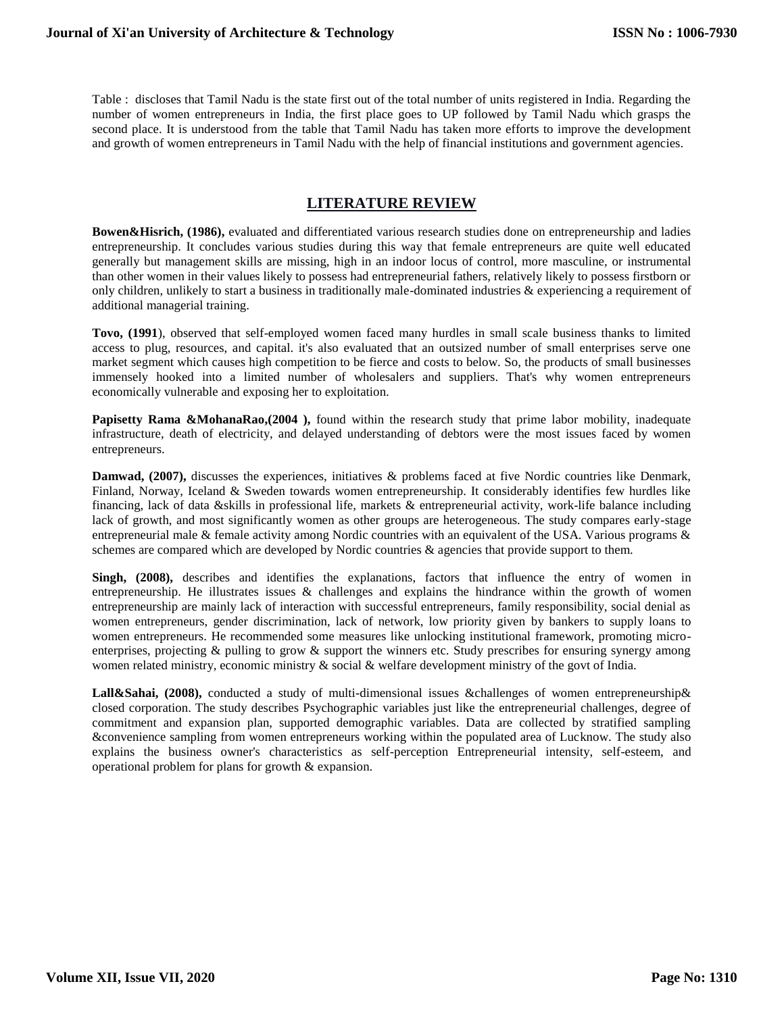Table : discloses that Tamil Nadu is the state first out of the total number of units registered in India. Regarding the number of women entrepreneurs in India, the first place goes to UP followed by Tamil Nadu which grasps the second place. It is understood from the table that Tamil Nadu has taken more efforts to improve the development and growth of women entrepreneurs in Tamil Nadu with the help of financial institutions and government agencies.

# **LITERATURE REVIEW**

**Bowen&Hisrich, (1986),** evaluated and differentiated various research studies done on entrepreneurship and ladies entrepreneurship. It concludes various studies during this way that female entrepreneurs are quite well educated generally but management skills are missing, high in an indoor locus of control, more masculine, or instrumental than other women in their values likely to possess had entrepreneurial fathers, relatively likely to possess firstborn or only children, unlikely to start a business in traditionally male-dominated industries & experiencing a requirement of additional managerial training.

**Tovo, (1991**), observed that self-employed women faced many hurdles in small scale business thanks to limited access to plug, resources, and capital. it's also evaluated that an outsized number of small enterprises serve one market segment which causes high competition to be fierce and costs to below. So, the products of small businesses immensely hooked into a limited number of wholesalers and suppliers. That's why women entrepreneurs economically vulnerable and exposing her to exploitation.

**Papisetty Rama &MohanaRao,(2004),** found within the research study that prime labor mobility, inadequate infrastructure, death of electricity, and delayed understanding of debtors were the most issues faced by women entrepreneurs.

**Damwad, (2007),** discusses the experiences, initiatives & problems faced at five Nordic countries like Denmark, Finland, Norway, Iceland & Sweden towards women entrepreneurship. It considerably identifies few hurdles like financing, lack of data &skills in professional life, markets & entrepreneurial activity, work-life balance including lack of growth, and most significantly women as other groups are heterogeneous. The study compares early-stage entrepreneurial male & female activity among Nordic countries with an equivalent of the USA. Various programs & schemes are compared which are developed by Nordic countries & agencies that provide support to them.

**Singh, (2008),** describes and identifies the explanations, factors that influence the entry of women in entrepreneurship. He illustrates issues & challenges and explains the hindrance within the growth of women entrepreneurship are mainly lack of interaction with successful entrepreneurs, family responsibility, social denial as women entrepreneurs, gender discrimination, lack of network, low priority given by bankers to supply loans to women entrepreneurs. He recommended some measures like unlocking institutional framework, promoting microenterprises, projecting  $\&$  pulling to grow  $\&$  support the winners etc. Study prescribes for ensuring synergy among women related ministry, economic ministry & social & welfare development ministry of the govt of India.

**Lall&Sahai, (2008),** conducted a study of multi-dimensional issues &challenges of women entrepreneurship& closed corporation. The study describes Psychographic variables just like the entrepreneurial challenges, degree of commitment and expansion plan, supported demographic variables. Data are collected by stratified sampling &convenience sampling from women entrepreneurs working within the populated area of Lucknow. The study also explains the business owner's characteristics as self-perception Entrepreneurial intensity, self-esteem, and operational problem for plans for growth & expansion.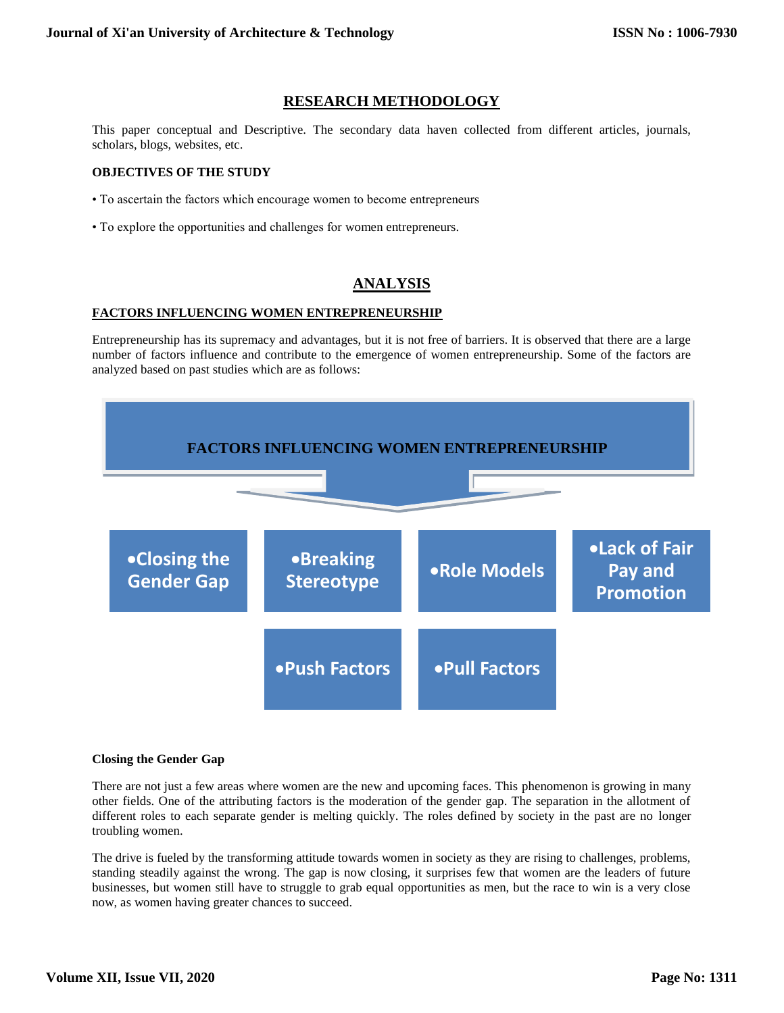# **RESEARCH METHODOLOGY**

This paper conceptual and Descriptive. The secondary data haven collected from different articles, journals, scholars, blogs, websites, etc.

# **OBJECTIVES OF THE STUDY**

- To ascertain the factors which encourage women to become entrepreneurs
- To explore the opportunities and challenges for women entrepreneurs.

# **ANALYSIS**

# **FACTORS INFLUENCING WOMEN ENTREPRENEURSHIP**

Entrepreneurship has its supremacy and advantages, but it is not free of barriers. It is observed that there are a large number of factors influence and contribute to the emergence of women entrepreneurship. Some of the factors are analyzed based on past studies which are as follows:



#### **Closing the Gender Gap**

There are not just a few areas where women are the new and upcoming faces. This phenomenon is growing in many other fields. One of the attributing factors is the moderation of the gender gap. The separation in the allotment of different roles to each separate gender is melting quickly. The roles defined by society in the past are no longer troubling women.

The drive is fueled by the transforming attitude towards women in society as they are rising to challenges, problems, standing steadily against the wrong. The gap is now closing, it surprises few that women are the leaders of future businesses, but women still have to struggle to grab equal opportunities as men, but the race to win is a very close now, as women having greater chances to succeed.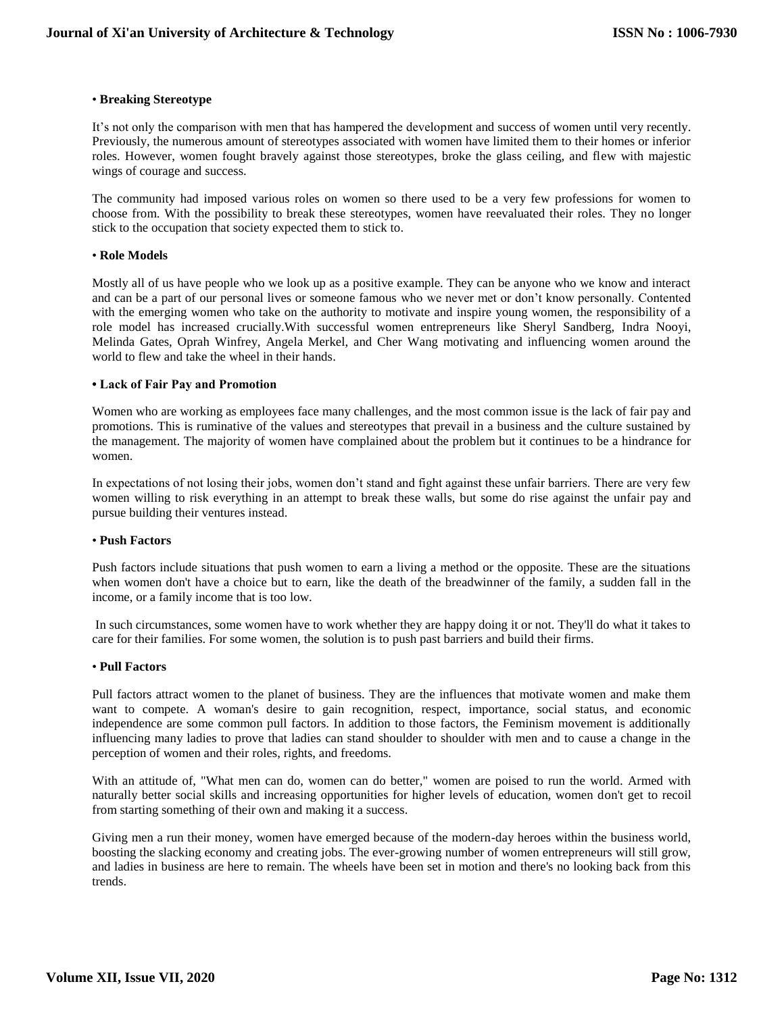# • **Breaking Stereotype**

It's not only the comparison with men that has hampered the development and success of women until very recently. Previously, the numerous amount of stereotypes associated with women have limited them to their homes or inferior roles. However, women fought bravely against those stereotypes, broke the glass ceiling, and flew with majestic wings of courage and success.

The community had imposed various roles on women so there used to be a very few professions for women to choose from. With the possibility to break these stereotypes, women have reevaluated their roles. They no longer stick to the occupation that society expected them to stick to.

# • **Role Models**

Mostly all of us have people who we look up as a positive example. They can be anyone who we know and interact and can be a part of our personal lives or someone famous who we never met or don't know personally. Contented with the emerging women who take on the authority to motivate and inspire young women, the responsibility of a role model has increased crucially.With successful women entrepreneurs like Sheryl Sandberg, Indra Nooyi, Melinda Gates, Oprah Winfrey, Angela Merkel, and Cher Wang motivating and influencing women around the world to flew and take the wheel in their hands.

# **• Lack of Fair Pay and Promotion**

Women who are working as employees face many challenges, and the most common issue is the lack of fair pay and promotions. This is ruminative of the values and stereotypes that prevail in a business and the culture sustained by the management. The majority of women have complained about the problem but it continues to be a hindrance for women.

In expectations of not losing their jobs, women don't stand and fight against these unfair barriers. There are very few women willing to risk everything in an attempt to break these walls, but some do rise against the unfair pay and pursue building their ventures instead.

## • **Push Factors**

Push factors include situations that push women to earn a living a method or the opposite. These are the situations when women don't have a choice but to earn, like the death of the breadwinner of the family, a sudden fall in the income, or a family income that is too low.

In such circumstances, some women have to work whether they are happy doing it or not. They'll do what it takes to care for their families. For some women, the solution is to push past barriers and build their firms.

#### • **Pull Factors**

Pull factors attract women to the planet of business. They are the influences that motivate women and make them want to compete. A woman's desire to gain recognition, respect, importance, social status, and economic independence are some common pull factors. In addition to those factors, the Feminism movement is additionally influencing many ladies to prove that ladies can stand shoulder to shoulder with men and to cause a change in the perception of women and their roles, rights, and freedoms.

With an attitude of, "What men can do, women can do better," women are poised to run the world. Armed with naturally better social skills and increasing opportunities for higher levels of education, women don't get to recoil from starting something of their own and making it a success.

Giving men a run their money, women have emerged because of the modern-day heroes within the business world, boosting the slacking economy and creating jobs. The ever-growing number of women entrepreneurs will still grow, and ladies in business are here to remain. The wheels have been set in motion and there's no looking back from this trends.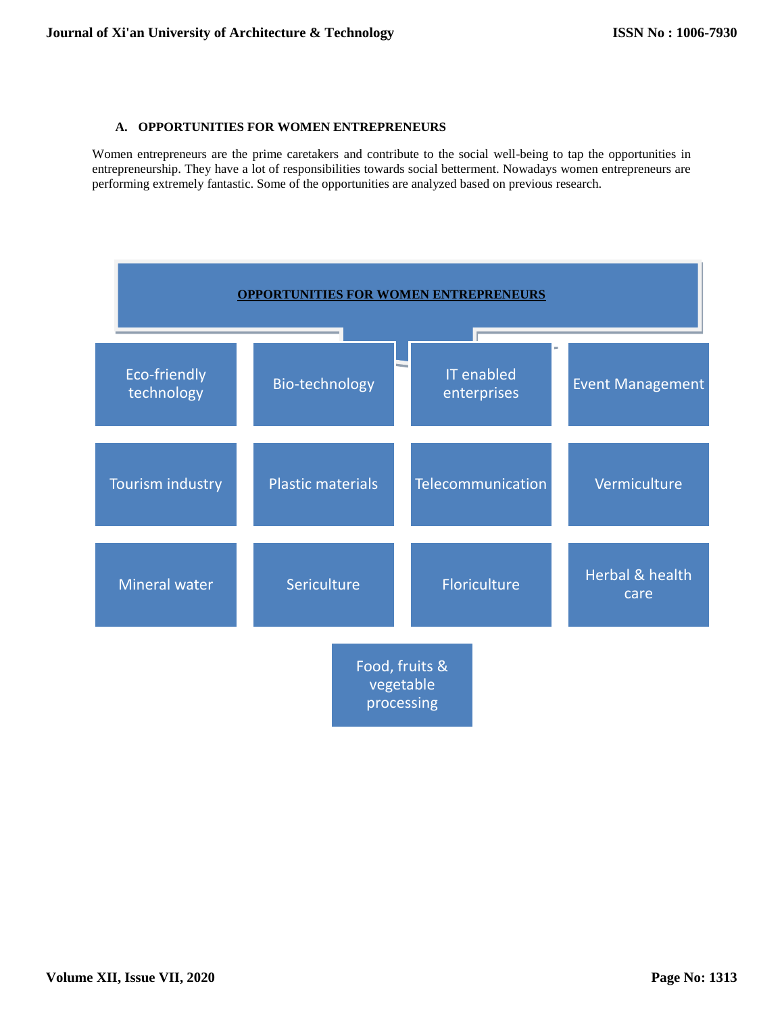# **A. OPPORTUNITIES FOR WOMEN ENTREPRENEURS**

Women entrepreneurs are the prime caretakers and contribute to the social well-being to tap the opportunities in entrepreneurship. They have a lot of responsibilities towards social betterment. Nowadays women entrepreneurs are performing extremely fantastic. Some of the opportunities are analyzed based on previous research.

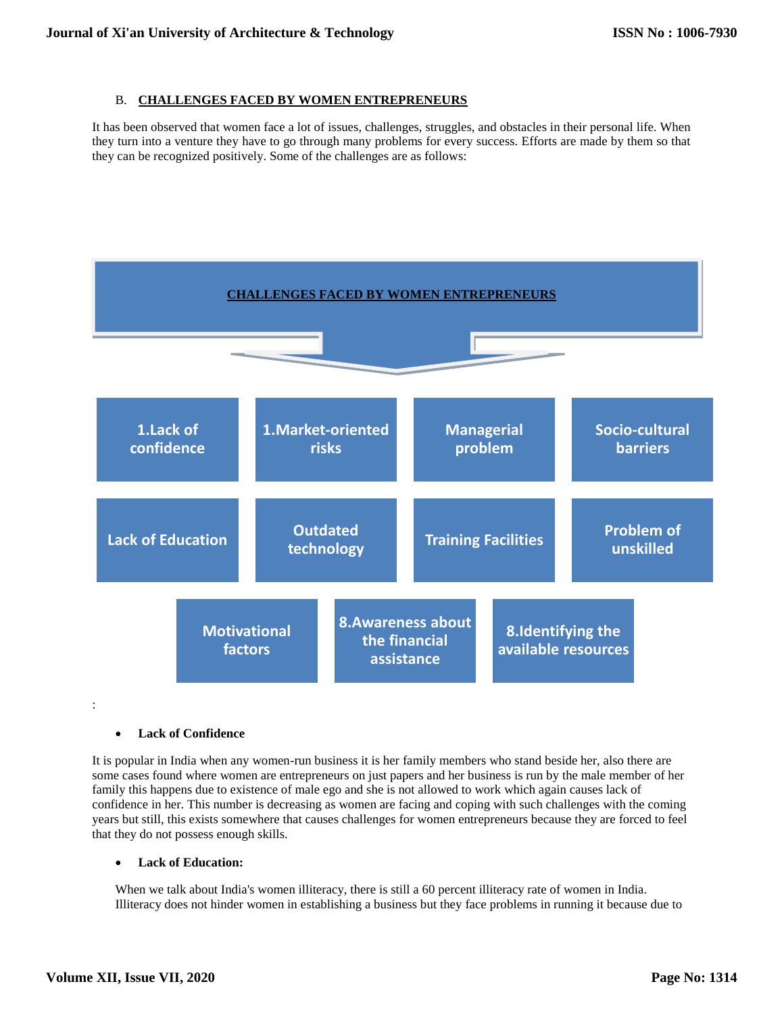# B. **CHALLENGES FACED BY WOMEN ENTREPRENEURS**

It has been observed that women face a lot of issues, challenges, struggles, and obstacles in their personal life. When they turn into a venture they have to go through many problems for every success. Efforts are made by them so that they can be recognized positively. Some of the challenges are as follows:



# **Lack of Confidence**

It is popular in India when any women-run business it is her family members who stand beside her, also there are some cases found where women are entrepreneurs on just papers and her business is run by the male member of her family this happens due to existence of male ego and she is not allowed to work which again causes lack of confidence in her. This number is decreasing as women are facing and coping with such challenges with the coming years but still, this exists somewhere that causes challenges for women entrepreneurs because they are forced to feel that they do not possess enough skills.

# **Lack of Education:**

When we talk about India's women illiteracy, there is still a 60 percent illiteracy rate of women in India. Illiteracy does not hinder women in establishing a business but they face problems in running it because due to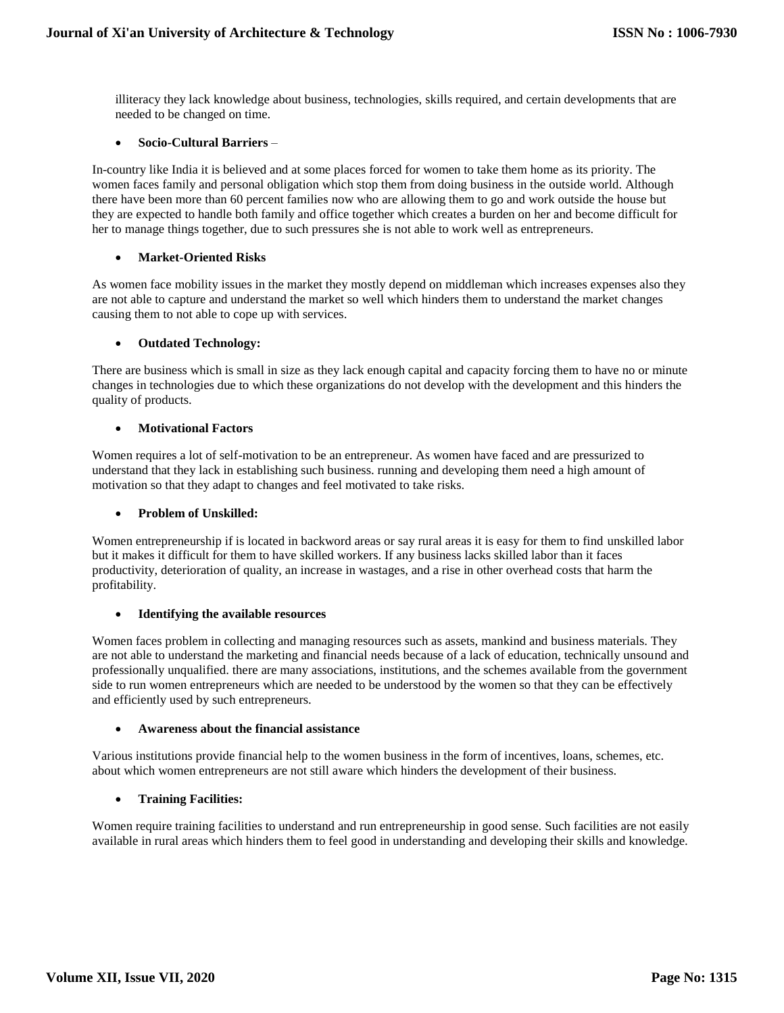illiteracy they lack knowledge about business, technologies, skills required, and certain developments that are needed to be changed on time.

# **Socio-Cultural Barriers** –

In-country like India it is believed and at some places forced for women to take them home as its priority. The women faces family and personal obligation which stop them from doing business in the outside world. Although there have been more than 60 percent families now who are allowing them to go and work outside the house but they are expected to handle both family and office together which creates a burden on her and become difficult for her to manage things together, due to such pressures she is not able to work well as entrepreneurs.

# **Market-Oriented Risks**

As women face mobility issues in the market they mostly depend on middleman which increases expenses also they are not able to capture and understand the market so well which hinders them to understand the market changes causing them to not able to cope up with services.

# **Outdated Technology:**

There are business which is small in size as they lack enough capital and capacity forcing them to have no or minute changes in technologies due to which these organizations do not develop with the development and this hinders the quality of products.

# **Motivational Factors**

Women requires a lot of self-motivation to be an entrepreneur. As women have faced and are pressurized to understand that they lack in establishing such business. running and developing them need a high amount of motivation so that they adapt to changes and feel motivated to take risks.

# **Problem of Unskilled:**

Women entrepreneurship if is located in backword areas or say rural areas it is easy for them to find unskilled labor but it makes it difficult for them to have skilled workers. If any business lacks skilled labor than it faces productivity, deterioration of quality, an increase in wastages, and a rise in other overhead costs that harm the profitability.

#### **Identifying the available resources**

Women faces problem in collecting and managing resources such as assets, mankind and business materials. They are not able to understand the marketing and financial needs because of a lack of education, technically unsound and professionally unqualified. there are many associations, institutions, and the schemes available from the government side to run women entrepreneurs which are needed to be understood by the women so that they can be effectively and efficiently used by such entrepreneurs.

# **Awareness about the financial assistance**

Various institutions provide financial help to the women business in the form of incentives, loans, schemes, etc. about which women entrepreneurs are not still aware which hinders the development of their business.

# **Training Facilities:**

Women require training facilities to understand and run entrepreneurship in good sense. Such facilities are not easily available in rural areas which hinders them to feel good in understanding and developing their skills and knowledge.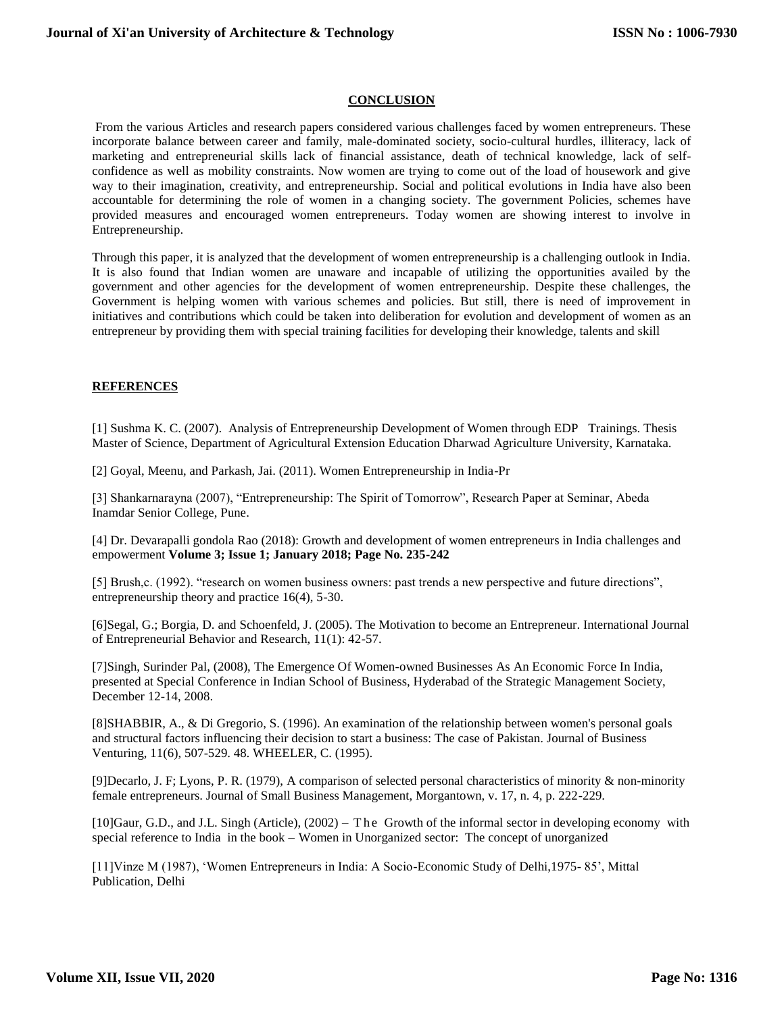# **CONCLUSION**

From the various Articles and research papers considered various challenges faced by women entrepreneurs. These incorporate balance between career and family, male-dominated society, socio-cultural hurdles, illiteracy, lack of marketing and entrepreneurial skills lack of financial assistance, death of technical knowledge, lack of selfconfidence as well as mobility constraints. Now women are trying to come out of the load of housework and give way to their imagination, creativity, and entrepreneurship. Social and political evolutions in India have also been accountable for determining the role of women in a changing society. The government Policies, schemes have provided measures and encouraged women entrepreneurs. Today women are showing interest to involve in Entrepreneurship.

Through this paper, it is analyzed that the development of women entrepreneurship is a challenging outlook in India. It is also found that Indian women are unaware and incapable of utilizing the opportunities availed by the government and other agencies for the development of women entrepreneurship. Despite these challenges, the Government is helping women with various schemes and policies. But still, there is need of improvement in initiatives and contributions which could be taken into deliberation for evolution and development of women as an entrepreneur by providing them with special training facilities for developing their knowledge, talents and skill

# **REFERENCES**

[1] Sushma K. C. (2007). Analysis of Entrepreneurship Development of Women through EDP Trainings. Thesis Master of Science, Department of Agricultural Extension Education Dharwad Agriculture University, Karnataka.

[2] Goyal, Meenu, and Parkash, Jai. (2011). Women Entrepreneurship in India-Pr

[3] Shankarnarayna (2007), "Entrepreneurship: The Spirit of Tomorrow", Research Paper at Seminar, Abeda Inamdar Senior College, Pune.

[4] Dr. Devarapalli gondola Rao (2018): Growth and development of women entrepreneurs in India challenges and empowerment **Volume 3; Issue 1; January 2018; Page No. 235-242**

[5] Brush,c. (1992). "research on women business owners: past trends a new perspective and future directions", entrepreneurship theory and practice 16(4), 5-30.

[6]Segal, G.; Borgia, D. and Schoenfeld, J. (2005). The Motivation to become an Entrepreneur. International Journal of Entrepreneurial Behavior and Research, 11(1): 42-57.

[7]Singh, Surinder Pal, (2008), The Emergence Of Women-owned Businesses As An Economic Force In India, presented at Special Conference in Indian School of Business, Hyderabad of the Strategic Management Society, December 12-14, 2008.

[8]SHABBIR, A., & Di Gregorio, S. (1996). An examination of the relationship between women's personal goals and structural factors influencing their decision to start a business: The case of Pakistan. Journal of Business Venturing, 11(6), 507-529. 48. WHEELER, C. (1995).

[9]Decarlo, J. F; Lyons, P. R. (1979), A comparison of selected personal characteristics of minority & non-minority female entrepreneurs. Journal of Small Business Management, Morgantown, v. 17, n. 4, p. 222-229.

[10]Gaur, G.D., and J.L. Singh (Article), (2002) – The Growth of the informal sector in developing economy with special reference to India in the book – Women in Unorganized sector: The concept of unorganized

[11]Vinze M (1987), 'Women Entrepreneurs in India: A Socio-Economic Study of Delhi,1975- 85', Mittal Publication, Delhi